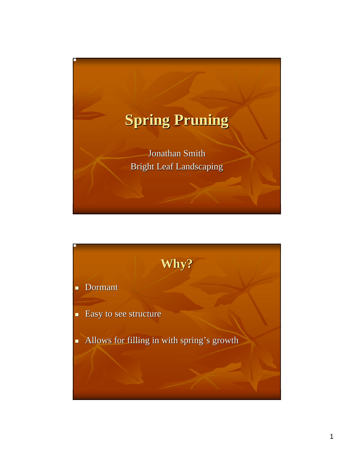



1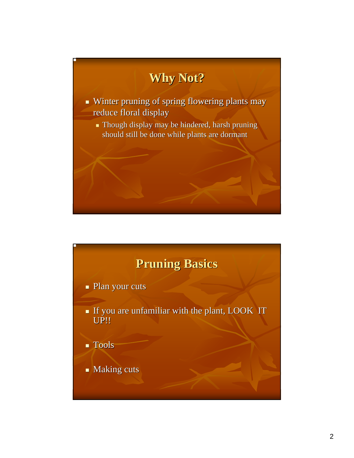

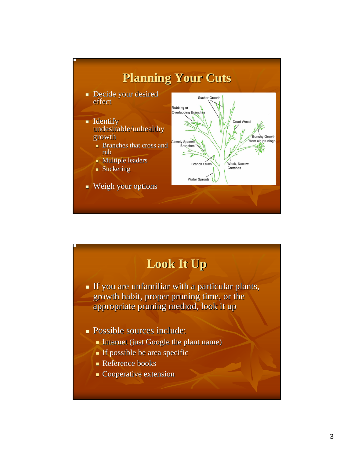

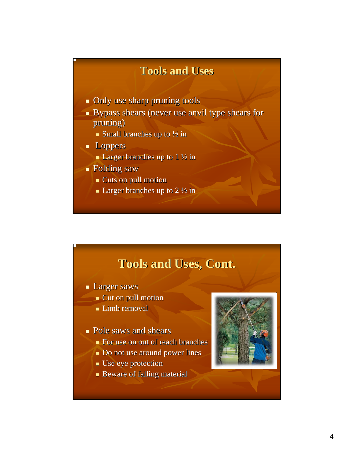#### **Tools and Uses Tools and Uses**

- $\blacksquare$  Only use sharp pruning tools
- Bypass shears (never use anvil type shears for Bypass shears (never use anvil type shears for pruning)
	- Small branches up to  $\frac{1}{2}$  in
- **Loppers** 
	- **Larger branches up to 1**  $\frac{1}{2}$  **in**
- Folding saw Folding saw
	- $\overline{\phantom{a}}$  Cuts on pull motion
	- **Larger branches up to 2**  $\frac{1}{2}$  **in**

#### **Tools and Uses, Cont. Tools and Uses, Cont.**

- **Larger saws** 
	- $\blacksquare$  Cut on pull motion
	- $\blacksquare$  Limb removal

#### $\blacksquare$  Pole saws and shears

- $\blacksquare$  For use on out of reach branches
- Do not use around power lines
- $\blacksquare$  Use eye protection
- **Beware of falling material**



4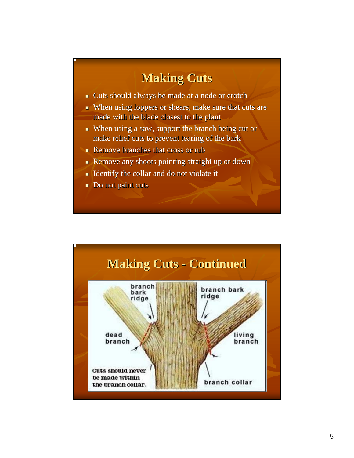### **Making Cuts Making Cuts**

- Cuts should always be made at a node or crotch Cuts should always be made at a node or crotch
- When using loppers or shears, make sure that cuts are make sure that cuts are make sure that cuts are made with the blade closest to the plant
- $\blacksquare$  When using a saw, support the branch being cut or make relief cuts to prevent tearing of the bark make relief cuts to prevent tearing of the bark
- Remove branches that cross or rub
- Remove any shoots pointing straight up or down Remove any shoots pointing straight up or down
- Identify the collar and do not violate it
- $\blacksquare$  Do not paint cuts



5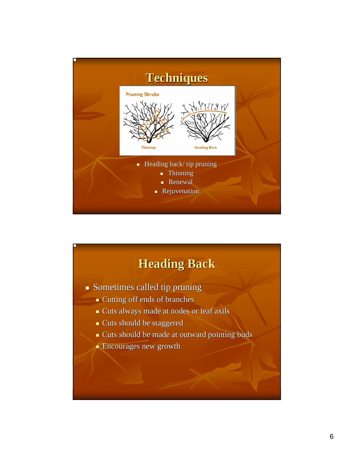

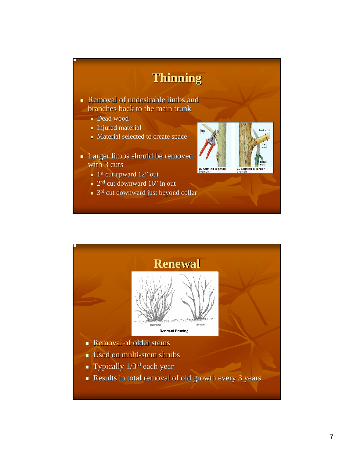

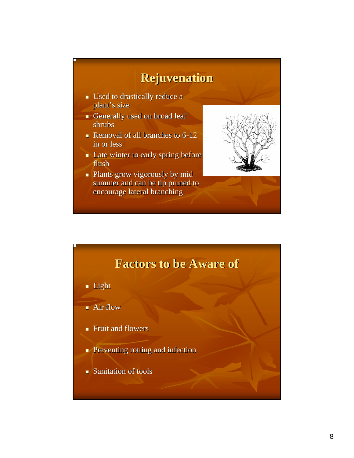## **Rejuvenation Rejuvenation**

- $\blacksquare$  Used to drastically reduce a plant's size
- Generally used on broad leaf shrubs
- Removal of all branches to  $6-12$ in or less
- $\blacksquare$  Late winter to early spring before flush
- Plants grow vigorously by mid Plants grow vigorously by mid summer and can be tip pruned to encourage lateral branching



# **Factors to be Aware of Factors to be Aware of Light**  $\blacksquare$  Air flow  $\blacksquare$  Fruit and flowers

- **Preventing rotting and infection**
- $\blacksquare$  Sanitation of tools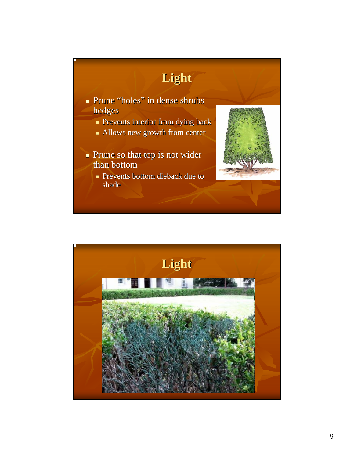

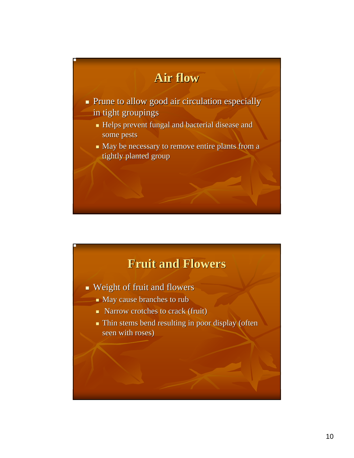

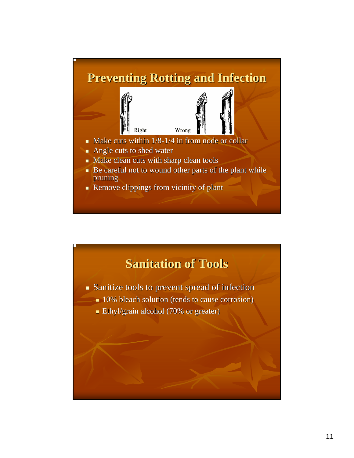